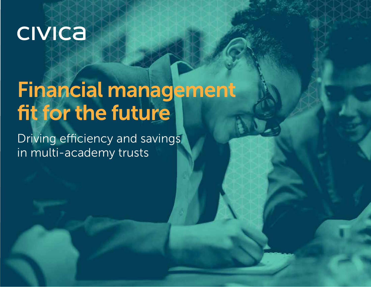## **CIVICA**

# Financial management fit for the future

Driving efficiency and savings in multi-academy trusts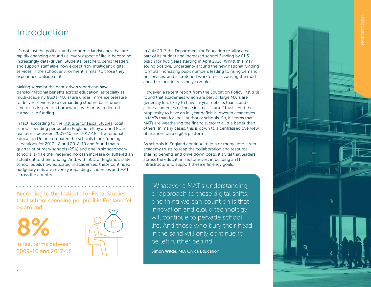### Introduction

It's not just the political and economic landscapes that are rapidly changing around us, every aspect of life is becoming increasingly data-driven. Students, teachers, senior leaders and support staff alike now expect rich, intelligent digital services in the school environment, similar to those they experience outside of it.

Making sense of the data-driven world can have transformational benefits across education, especially as multi-academy trusts (MATs) are under immense pressure to deliver services to a demanding student base, under a rigorous inspection framework, with unprecedented cutbacks in funding.

In fact, according to the [Institute for Fiscal Studies,](https://www.ifs.org.uk/publications/13306) total school spending per pupil in England fell by around 8% in real terms between 2009-10 and 2017-18. The National Education Union compared the schools block funding allocations for [2017-18](https://www.gov.uk/government/publications/schools-block-funding-allocations-2017-to-2018) and [2018-19](https://www.gov.uk/government/publications/schools-block-funding-allocations-2018-to-2019) and found that a quarter of primary schools (25%) and one in six secondary schools (17%) either received no cash increase or suffered an actual cut to their funding. And, with 50% of England's state school pupils now educated in academies, these continued budgetary cuts are severely impacting academies and MATs across the country.

According to the Institute for Fiscal Studies, total school spending per pupil in England fell by around

in real terms between 2009-10 and 2017-18 8%



[In July 2017 the Department for Education re-allocated](https://www.gov.uk/government/news/13bn-for-core-schools-budget-delivers-rise-in-per-pupil-funding)  part of its budget and increased school funding by £1.3 [billion](https://www.gov.uk/government/news/13bn-for-core-schools-budget-delivers-rise-in-per-pupil-funding) for two years starting in April 2018. Whilst this may sound positive, uncertainty around the new national funding formula, increasing pupil numbers leading to rising demand on services, and a stretched workforce, is causing the road ahead to look increasingly complex.

However, a recent report from the [Education Policy Institute](https://epi.org.uk/publications-and-research/school-revenue-balances/) found that academies which are part of large MATs are generally less likely to have in-year deficits than standalone academies or those in small 'starter' trusts. And the propensity to have an in-year deficit is lower in academies in MATs than for local authority schools. So, it seems that MATs are weathering the financial storm a little better than others. In many cases, this is down to a centralised overview of finances on a digital platform.

As schools in England continue to join or merge into larger academy trusts to reap the collaboration and resource sharing benefits and drive down costs, it's vital that leaders across the education sector invest in building an IT infrastructure to support these efficiency goals.

"Whatever a MAT's understanding or approach to these digital shifts, one thing we can count on is that innovation and cloud technology will continue to pervade school life. And those who bury their head in the sand will only continue to be left further behind."

Simon Wilde, MD, Civica Education

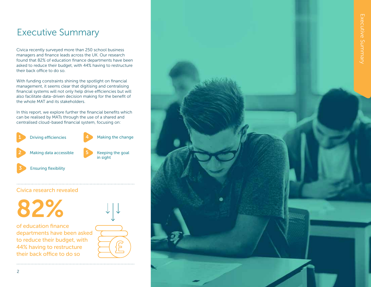## Executive Summary

Civica recently surveyed more than 250 school business managers and finance leads across the UK. Our research found that 82% of education finance departments have been asked to reduce their budget, with 44% having to restructure their back office to do so.

With funding constraints shining the spotlight on financial management, it seems clear that digitising and centralising financial systems will not only help drive efficiencies but will also facilitate data-driven decision making for the benefit of the whole MAT and its stakeholders.

In this report, we explore further the financial benefits which can be realised by MATs through the use of a shared and centralised cloud-based financial system, focusing on:



#### Civica research revealed



of education finance departments have been asked to reduce their budget, with 44% having to restructure their back office to do so



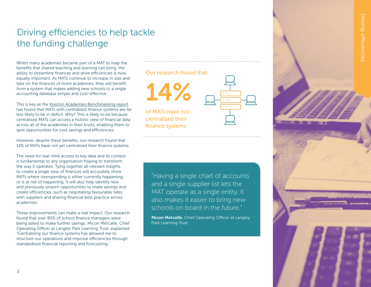## Driving efficiencies to help tackle the funding challenge

Whilst many academies became part of a MAT to reap the benefits that shared teaching and learning can bring, the ability to streamline finances and drive efficiencies is now equally important. As MATs continue to increase in size and take on the finances of more academies, they will benefit from a system that makes adding new schools to a single accounting database simple and cost-effective.

This is key as the [Kreston Academies Benchmarking report](https://www.jamescowperkreston.co.uk/benchmark-report/) has found that MATs with centralised finance systems are far less likely to be in deficit. Why? This is likely to be because centralised MATs can access a holistic view of financial data across all of the academies in their trusts, enabling them to spot opportunities for cost savings and efficiencies.

However, despite these benefits, our research found that 14% of MATs have not yet centralised their finance systems.

The need for real-time access to key data and its context is fundamental to any organisation hoping to transform the way it operates. Tying together all relevant insights to create a single view of finances will accurately show MATs where overspending is either currently happening, or is at risk of happening. It will also help identify new and previously unseen opportunities to make savings and create efficiencies, such as negotiating favourable rates with suppliers and sharing financial best practice across academies.

These improvements can make a real impact. Our research found that over 80% of school finance managers were being asked to make further savings. Micon Metcalfe, Chief Operating Officer at Langley Park Learning Trust, explained: "Centralising our finance systems has allowed me to structure our operations and improve efficiencies through standardised financial reporting and forecasting."

#### Our research found

14%

of MATs have not centralised their finance systems

| that |  |
|------|--|
|      |  |
|      |  |

 $\frac{1}{\sqrt{2}}$  The instead of  $\frac{1}{\sqrt{2}}$ Studies of the studies of the person in the person of the person in the person in the person in the person in the person in the person in the person in the person in the person in the person in the person in the person in in England and the supplier that television real terms between 2019-2019-2018-2018-2019-2019-2018-2019-2019-2019-2018-2019-2019-2018-2019-2019-2019-2019-2<br>Color produce it against to bring power "Having a single chart of accounts and a single supplier list lets the MAT operate as a single entity. It also makes it easier to bring new schools on board in the future."

Micon Metcalfe, Chief Operating Officer at Langley Park Learning Trust



3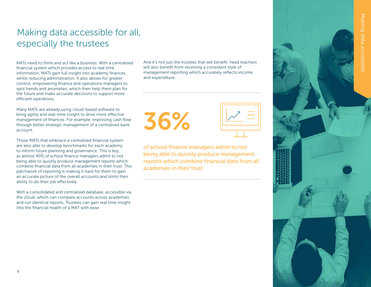

## Making data accessible for all, especially the trustees

MATs need to think and act like a business. With a centralised financial system which provides access to real time information, MATs gain full insight into academy finances, whilst reducing administration. It also allows for greater control, empowering finance and operations managers to spot trends and anomalies, which then help them plan for the future and make accurate decisions to support more efficient operations.

Many MATs are already using cloud-based software to bring agility and real-time insight to drive more effective management of finances. For example, improving cash flow through better strategic management of a centralised bank account.

Those MATs that embrace a centralised financial system are also able to develop benchmarks for each academy to inform future planning and governance. This is key, as almost 40% of school finance managers admit to not being able to quickly produce management reports which combine financial data from all academies in their trust. This patchwork of reporting is making it hard for them to gain an accurate picture of the overall accounts and limits their ability to do their job effectively.

With a consolidated and centralised database, accessible via the cloud, which can compare accounts across academies and run identical reports, Trustees can gain real time insight into the financial health of a MAT with ease.

And it's not just the trustees that will benefit: head teachers will also benefit from receiving a consistent style of management reporting which accurately reflects income and expenditure.

36%

of school finance managers admit to not being able to quickly produce management reports which combine financial data from all academies in their trust

|  | aking data accessible |
|--|-----------------------|
|  |                       |
|  |                       |
|  |                       |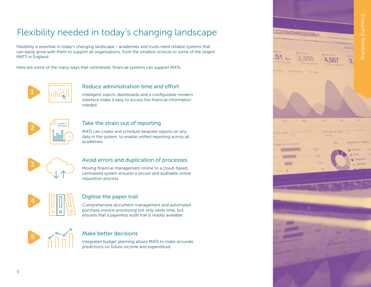## Flexibility needed in today's changing landscape

Flexibility is essential in today's changing landscape - academies and trusts need reliable systems that can easily grow with them to support all organisations, from the smallest schools to some of the largest MATS in England.

Here are some of the many ways that centralised, financial systems can support MATs:



#### Reduce administration time and effort

Intelligent search, dashboards and a configurable modern interface make it easy to access the financial information needed



#### Take the strain out of reporting

MATs can create and schedule bespoke reports on any data in the system, to enable unified reporting across all academies



#### Avoid errors and duplication of processes

Moving financial management online to a cloud-based, centralised system ensures a secure and auditable online requisition process



#### Digitise the paper trail

Comprehensive document management and automated purchase invoice processing not only saves time, but ensures that a paperless audit trail is readily available



#### Make better decisions

Integrated budget planning allows MATs to make accurate predictions on future income and expenditure

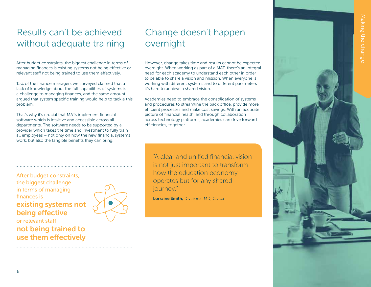## Results can't be achieved without adequate training

After budget constraints, the biggest challenge in terms of managing finances is existing systems not being effective or relevant staff not being trained to use them effectively.

15% of the finance managers we surveyed claimed that a lack of knowledge about the full capabilities of systems is a challenge to managing finances, and the same amount argued that system specific training would help to tackle this problem.

That's why it's crucial that MATs implement financial software which is intuitive and accessible across all departments. The software needs to be supported by a provider which takes the time and investment to fully train all employees – not only on how the new financial systems work, but also the tangible benefits they can bring.

Change doesn't happen overnight

However, change takes time and results cannot be expected overnight. When working as part of a MAT, there's an integral need for each academy to understand each other in order to be able to share a vision and mission. When everyone is working with different systems and to different parameters it's hard to achieve a shared vision.

Academies need to embrace the consolidation of systems and procedures to streamline the back office, provide more efficient processes and make cost savings. With an accurate picture of financial health, and through collaboration across technology platforms, academies can drive forward efficiencies, together.

After budget constraints, the biggest challenge in terms of managing finances is existing systems not being effective or relevant staff not being trained to use them effectively



According to the Institute for Fiscal Studies in the studies of the perfect spending per public spending per public spending per public spending per is not just important to transform riow are conceation coordinary "A clear and unified financial vision is not just important to transform how the education economy operates but for any shared journey."

Lorraine Smith, Divisional MD, Civica

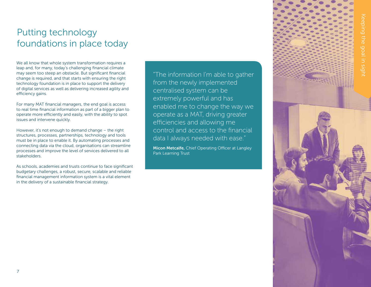## Putting technology foundations in place today

We all know that whole system transformation requires a leap and, for many, today's challenging financial climate may seem too steep an obstacle. But significant financial change is required, and that starts with ensuring the right technology foundation is in place to support the delivery of digital services as well as delivering increased agility and efficiency gains.

For many MAT financial managers, the end goal is access to real time financial information as part of a bigger plan to operate more efficiently and easily, with the ability to spot issues and intervene quickly.

However, it's not enough to demand change – the right structures, processes, partnerships, technology and tools must be in place to enable it. By automating processes and connecting data via the cloud, organisations can streamline processes and improve the level of services delivered to all stakeholders.

As schools, academies and trusts continue to face significant budgetary challenges, a robust, secure, scalable and reliable financial management information system is a vital element in the delivery of a sustainable financial strategy.

According to the Institute for Fiscal Studies, the monday of the period spending per pupils per pupils per pupils and per pupils per pupils and per pupils of the spending per pupils and per pupils and per pupils and pupils and pupils are pupils and pupils and in Unit and having implemented real terms between 2009-10 and 2017- "The information I'm able to gather from the newly implemented centralised system can be extremely powerful and has enabled me to change the way we operate as a MAT, driving greater efficiencies and allowing me control and access to the financial data I always needed with ease."

Micon Metcalfe, Chief Operating Officer at Langley Park Learning Trust



7